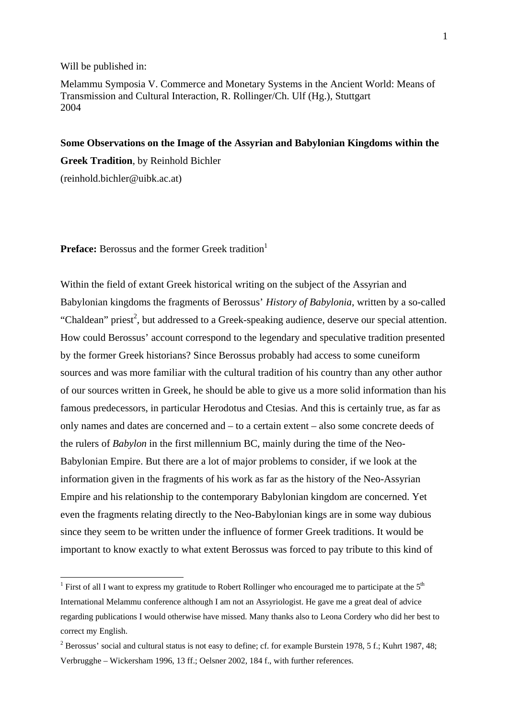#### Will be published in:

Melammu Symposia V. Commerce and Monetary Systems in the Ancient World: Means of Transmission and Cultural Interaction, R. Rollinger/Ch. Ulf (Hg.), Stuttgart 2004

# **Some Observations on the Image of the Assyrian and Babylonian Kingdoms within the Greek Tradition**, by Reinhold Bichler

(reinhold.bichler@uibk.ac.at)

 $\overline{a}$ 

### **Preface:** Berossus and the former Greek tradition<sup>1</sup>

Within the field of extant Greek historical writing on the subject of the Assyrian and Babylonian kingdoms the fragments of Berossus' *History of Babylonia*, written by a so-called "Chaldean" priest<sup>2</sup>, but addressed to a Greek-speaking audience, deserve our special attention. How could Berossus' account correspond to the legendary and speculative tradition presented by the former Greek historians? Since Berossus probably had access to some cuneiform sources and was more familiar with the cultural tradition of his country than any other author of our sources written in Greek, he should be able to give us a more solid information than his famous predecessors, in particular Herodotus and Ctesias. And this is certainly true, as far as only names and dates are concerned and – to a certain extent – also some concrete deeds of the rulers of *Babylon* in the first millennium BC, mainly during the time of the Neo-Babylonian Empire. But there are a lot of major problems to consider, if we look at the information given in the fragments of his work as far as the history of the Neo-Assyrian Empire and his relationship to the contemporary Babylonian kingdom are concerned. Yet even the fragments relating directly to the Neo-Babylonian kings are in some way dubious since they seem to be written under the influence of former Greek traditions. It would be important to know exactly to what extent Berossus was forced to pay tribute to this kind of

<span id="page-0-0"></span><sup>&</sup>lt;sup>1</sup> First of all I want to express my gratitude to Robert Rollinger who encouraged me to participate at the  $5<sup>th</sup>$ International Melammu conference although I am not an Assyriologist. He gave me a great deal of advice regarding publications I would otherwise have missed. Many thanks also to Leona Cordery who did her best to correct my English.

<span id="page-0-1"></span><sup>&</sup>lt;sup>2</sup> Berossus' social and cultural status is not easy to define; cf. for example Burstein 1978, 5 f.; Kuhrt 1987, 48; Verbrugghe – Wickersham 1996, 13 ff.; Oelsner 2002, 184 f., with further references.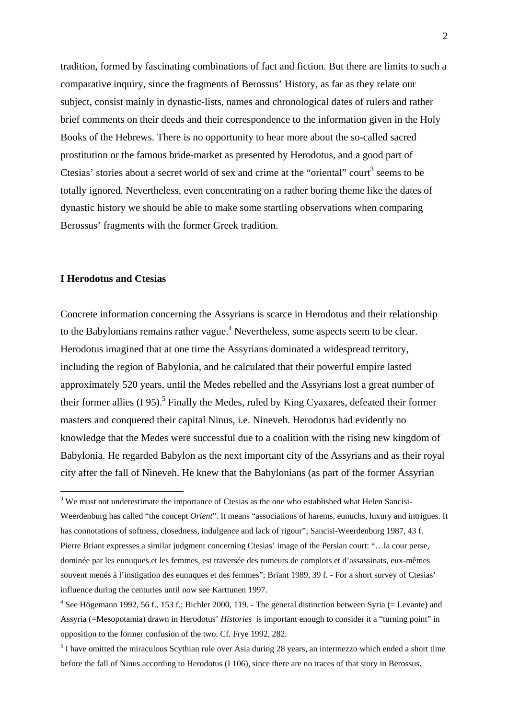tradition, formed by fascinating combinations of fact and fiction. But there are limits to such a comparative inquiry, since the fragments of Berossus' History, as far as they relate our subject, consist mainly in dynastic-lists, names and chronological dates of rulers and rather brief comments on their deeds and their correspondence to the information given in the Holy Books of the Hebrews. There is no opportunity to hear more about the so-called sacred prostitution or the famous bride-market as presented by Herodotus, and a good part of Ctesias' stories about a secret world of sex and crime at the "oriental" court<sup>3</sup> seems to be totally ignored. Nevertheless, even concentrating on a rather boring theme like the dates of dynastic history we should be able to make some startling observations when comparing Berossus' fragments with the former Greek tradition.

## **I Herodotus and Ctesias**

1

Concrete information concerning the Assyrians is scarce in Herodotus and their relationship to the Babylonians remains rather vague. $4$  Nevertheless, some aspects seem to be clear. Herodotus imagined that at one time the Assyrians dominated a widespread territory, including the region of Babylonia, and he calculated that their powerful empire lasted approximately 520 years, until the Medes rebelled and the Assyrians lost a great number of their former allies  $(I 95)$  $(I 95)$  $(I 95)$ .<sup>5</sup> Finally the Medes, ruled by King Cyaxares, defeated their former masters and conquered their capital Ninus, i.e. Nineveh. Herodotus had evidently no knowledge that the Medes were successful due to a coalition with the rising new kingdom of Babylonia. He regarded Babylon as the next important city of the Assyrians and as their royal city after the fall of Nineveh. He knew that the Babylonians (as part of the former Assyrian

<span id="page-1-0"></span> $3$  We must not underestimate the importance of Ctesias as the one who established what Helen Sancisi-Weerdenburg has called "the concept *Orient*". It means "associations of harems, eunuchs, luxury and intrigues. It has connotations of softness, closedness, indulgence and lack of rigour"; Sancisi-Weerdenburg 1987, 43 f. Pierre Briant expresses a similar judgment concerning Ctesias' image of the Persian court: "…la cour perse, dominée par les eunuques et les femmes, est traversée des rumeurs de complots et d'assassinats, eux-mêmes souvent menés à l'instigation des eunuques et des femmes"; Briant 1989, 39 f. - For a short survey of Ctesias' influence during the centuries until now see Karttunen 1997.

<span id="page-1-1"></span><sup>&</sup>lt;sup>4</sup> See Högemann 1992, 56 f., 153 f.; Bichler 2000, 119. - The general distinction between Syria (= Levante) and Assyria (=Mesopotamia) drawn in Herodotus' *Histories* is important enough to consider it a "turning point" in opposition to the former confusion of the two. Cf. Frye 1992, 282.

<span id="page-1-2"></span> $<sup>5</sup>$  I have omitted the miraculous Scythian rule over Asia during 28 years, an intermezzo which ended a short time</sup> before the fall of Ninus according to Herodotus (I 106), since there are no traces of that story in Berossus.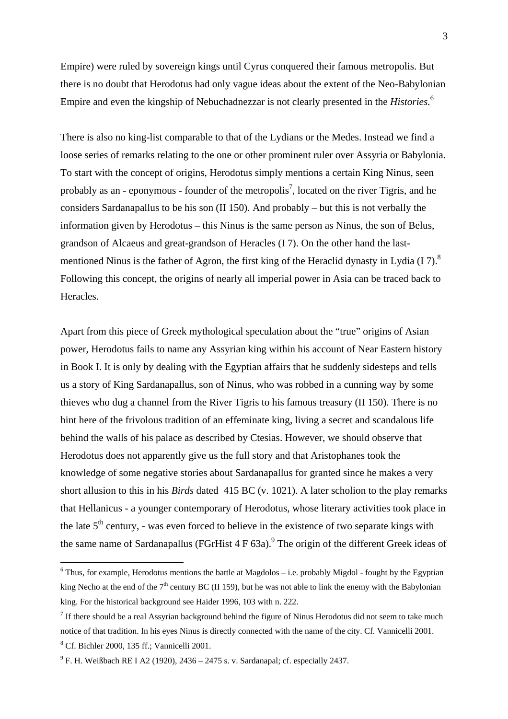Empire) were ruled by sovereign kings until Cyrus conquered their famous metropolis. But there is no doubt that Herodotus had only vague ideas about the extent of the Neo-Babylonian Empire and even the kingship of Nebuchadnezzar is not clearly presented in the *Histories.*[6](#page-2-0)

There is also no king-list comparable to that of the Lydians or the Medes. Instead we find a loose series of remarks relating to the one or other prominent ruler over Assyria or Babylonia. To start with the concept of origins, Herodotus simply mentions a certain King Ninus, seen probably as an - eponymous - founder of the metropolis<sup>7</sup>, located on the river Tigris, and he considers Sardanapallus to be his son (II 150). And probably – but this is not verbally the information given by Herodotus – this Ninus is the same person as Ninus, the son of Belus, grandson of Alcaeus and great-grandson of Heracles (I 7). On the other hand the lastmentioned Ninus is the father of Agron, the first king of the Heraclid dynasty in Lydia (I 7). $8$ Following this concept, the origins of nearly all imperial power in Asia can be traced back to Heracles.

Apart from this piece of Greek mythological speculation about the "true" origins of Asian power, Herodotus fails to name any Assyrian king within his account of Near Eastern history in Book I. It is only by dealing with the Egyptian affairs that he suddenly sidesteps and tells us a story of King Sardanapallus, son of Ninus, who was robbed in a cunning way by some thieves who dug a channel from the River Tigris to his famous treasury (II 150). There is no hint here of the frivolous tradition of an effeminate king, living a secret and scandalous life behind the walls of his palace as described by Ctesias. However, we should observe that Herodotus does not apparently give us the full story and that Aristophanes took the knowledge of some negative stories about Sardanapallus for granted since he makes a very short allusion to this in his *Birds* dated 415 BC (v. 1021). A later scholion to the play remarks that Hellanicus - a younger contemporary of Herodotus, whose literary activities took place in the late  $5<sup>th</sup>$  century, - was even forced to believe in the existence of two separate kings with the same name of Sardanapallus (FGrHist  $4 \text{ F } 63a$ ).<sup>[9](#page-2-3)</sup> The origin of the different Greek ideas of

<u>.</u>

<span id="page-2-0"></span> $6$  Thus, for example, Herodotus mentions the battle at Magdolos – i.e. probably Migdol - fought by the Egyptian king Necho at the end of the  $7<sup>th</sup>$  century BC (II 159), but he was not able to link the enemy with the Babylonian king. For the historical background see Haider 1996, 103 with n. 222.

<span id="page-2-1"></span> $<sup>7</sup>$  If there should be a real Assyrian background behind the figure of Ninus Herodotus did not seem to take much</sup> notice of that tradition. In his eyes Ninus is directly connected with the name of the city. Cf. Vannicelli 2001.

<span id="page-2-2"></span><sup>8</sup> Cf. Bichler 2000, 135 ff.; Vannicelli 2001.

<span id="page-2-3"></span> $9$  F. H. Weißbach RE I A2 (1920), 2436 – 2475 s. v. Sardanapal; cf. especially 2437.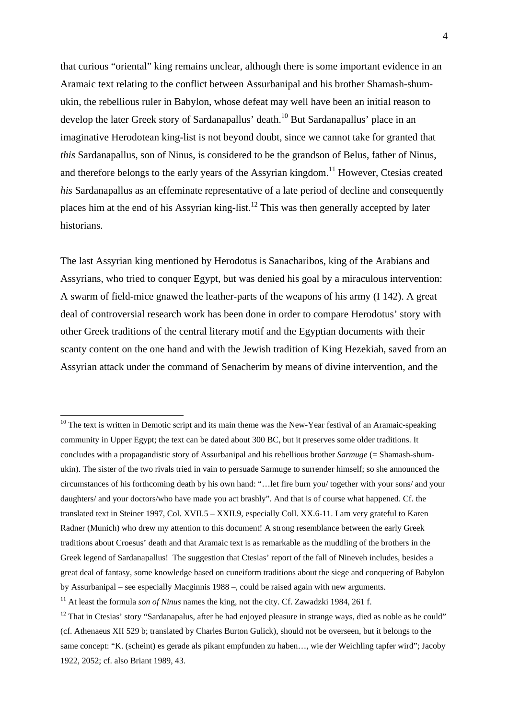that curious "oriental" king remains unclear, although there is some important evidence in an Aramaic text relating to the conflict between Assurbanipal and his brother Shamash-shumukin, the rebellious ruler in Babylon, whose defeat may well have been an initial reason to develop the later Greek story of Sardanapallus' death.<sup>10</sup> But Sardanapallus' place in an imaginative Herodotean king-list is not beyond doubt, since we cannot take for granted that *this* Sardanapallus, son of Ninus, is considered to be the grandson of Belus, father of Ninus, and therefore belongs to the early years of the Assyrian kingdom.<sup>11</sup> However, Ctesias created *his* Sardanapallus as an effeminate representative of a late period of decline and consequently places him at the end of his Assyrian king-list.<sup>12</sup> This was then generally accepted by later historians.

The last Assyrian king mentioned by Herodotus is Sanacharibos, king of the Arabians and Assyrians, who tried to conquer Egypt, but was denied his goal by a miraculous intervention: A swarm of field-mice gnawed the leather-parts of the weapons of his army (I 142). A great deal of controversial research work has been done in order to compare Herodotus' story with other Greek traditions of the central literary motif and the Egyptian documents with their scanty content on the one hand and with the Jewish tradition of King Hezekiah, saved from an Assyrian attack under the command of Senacherim by means of divine intervention, and the

<span id="page-3-0"></span> $10$  The text is written in Demotic script and its main theme was the New-Year festival of an Aramaic-speaking community in Upper Egypt; the text can be dated about 300 BC, but it preserves some older traditions. It concludes with a propagandistic story of Assurbanipal and his rebellious brother *Sarmuge* (= Shamash-shumukin). The sister of the two rivals tried in vain to persuade Sarmuge to surrender himself; so she announced the circumstances of his forthcoming death by his own hand: "…let fire burn you/ together with your sons/ and your daughters/ and your doctors/who have made you act brashly". And that is of course what happened. Cf. the translated text in Steiner 1997, Col. XVII.5 – XXII.9, especially Coll. XX.6-11. I am very grateful to Karen Radner (Munich) who drew my attention to this document! A strong resemblance between the early Greek traditions about Croesus' death and that Aramaic text is as remarkable as the muddling of the brothers in the Greek legend of Sardanapallus! The suggestion that Ctesias' report of the fall of Nineveh includes, besides a great deal of fantasy, some knowledge based on cuneiform traditions about the siege and conquering of Babylon by Assurbanipal – see especially Macginnis 1988 –, could be raised again with new arguments.

<span id="page-3-1"></span><sup>&</sup>lt;sup>11</sup> At least the formula *son of Ninus* names the king, not the city. Cf. Zawadzki 1984, 261 f.

<span id="page-3-2"></span> $12$  That in Ctesias' story "Sardanapalus, after he had enjoyed pleasure in strange ways, died as noble as he could" (cf. Athenaeus XII 529 b; translated by Charles Burton Gulick), should not be overseen, but it belongs to the same concept: "K. (scheint) es gerade als pikant empfunden zu haben…, wie der Weichling tapfer wird"; Jacoby 1922, 2052; cf. also Briant 1989, 43.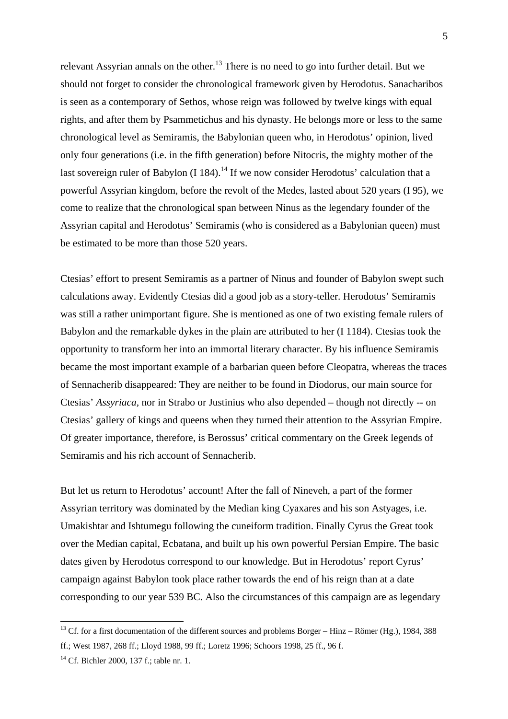relevant Assyrian annals on the other.<sup>13</sup> There is no need to go into further detail. But we should not forget to consider the chronological framework given by Herodotus. Sanacharibos is seen as a contemporary of Sethos, whose reign was followed by twelve kings with equal rights, and after them by Psammetichus and his dynasty. He belongs more or less to the same chronological level as Semiramis, the Babylonian queen who, in Herodotus' opinion, lived only four generations (i.e. in the fifth generation) before Nitocris, the mighty mother of the last sovereign ruler of Babylon  $(I 184)$ .<sup>14</sup> If we now consider Herodotus' calculation that a powerful Assyrian kingdom, before the revolt of the Medes, lasted about 520 years (I 95), we come to realize that the chronological span between Ninus as the legendary founder of the Assyrian capital and Herodotus' Semiramis (who is considered as a Babylonian queen) must be estimated to be more than those 520 years.

Ctesias' effort to present Semiramis as a partner of Ninus and founder of Babylon swept such calculations away. Evidently Ctesias did a good job as a story-teller. Herodotus' Semiramis was still a rather unimportant figure. She is mentioned as one of two existing female rulers of Babylon and the remarkable dykes in the plain are attributed to her (I 1184). Ctesias took the opportunity to transform her into an immortal literary character. By his influence Semiramis became the most important example of a barbarian queen before Cleopatra, whereas the traces of Sennacherib disappeared: They are neither to be found in Diodorus, our main source for Ctesias' *Assyriaca,* nor in Strabo or Justinius who also depended – though not directly -- on Ctesias' gallery of kings and queens when they turned their attention to the Assyrian Empire. Of greater importance, therefore, is Berossus' critical commentary on the Greek legends of Semiramis and his rich account of Sennacherib.

But let us return to Herodotus' account! After the fall of Nineveh, a part of the former Assyrian territory was dominated by the Median king Cyaxares and his son Astyages, i.e. Umakishtar and Ishtumegu following the cuneiform tradition. Finally Cyrus the Great took over the Median capital, Ecbatana, and built up his own powerful Persian Empire. The basic dates given by Herodotus correspond to our knowledge. But in Herodotus' report Cyrus' campaign against Babylon took place rather towards the end of his reign than at a date corresponding to our year 539 BC. Also the circumstances of this campaign are as legendary

<span id="page-4-0"></span><sup>&</sup>lt;sup>13</sup> Cf. for a first documentation of the different sources and problems Borger – Hinz – Römer (Hg.), 1984, 388 ff.; West 1987, 268 ff.; Lloyd 1988, 99 ff.; Loretz 1996; Schoors 1998, 25 ff., 96 f.

<span id="page-4-1"></span><sup>&</sup>lt;sup>14</sup> Cf. Bichler 2000, 137 f.; table nr. 1.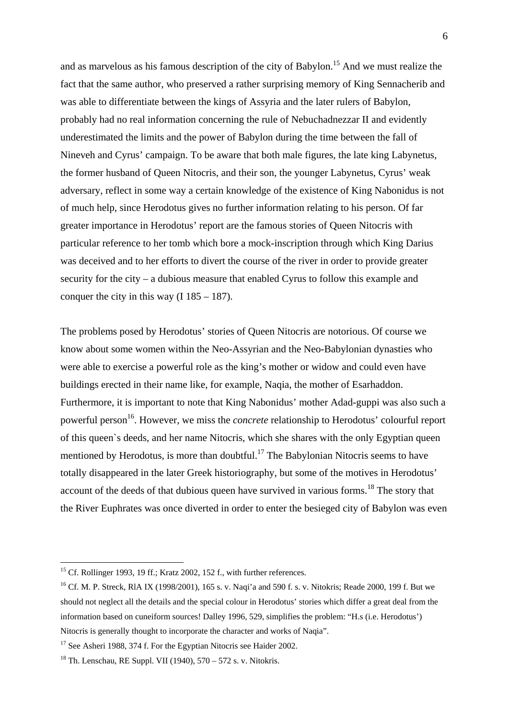and as marvelous as his famous description of the city of Babylon.<sup>15</sup> And we must realize the fact that the same author, who preserved a rather surprising memory of King Sennacherib and was able to differentiate between the kings of Assyria and the later rulers of Babylon, probably had no real information concerning the rule of Nebuchadnezzar II and evidently underestimated the limits and the power of Babylon during the time between the fall of Nineveh and Cyrus' campaign. To be aware that both male figures, the late king Labynetus, the former husband of Queen Nitocris, and their son, the younger Labynetus, Cyrus' weak adversary, reflect in some way a certain knowledge of the existence of King Nabonidus is not of much help, since Herodotus gives no further information relating to his person. Of far greater importance in Herodotus' report are the famous stories of Queen Nitocris with particular reference to her tomb which bore a mock-inscription through which King Darius was deceived and to her efforts to divert the course of the river in order to provide greater security for the city – a dubious measure that enabled Cyrus to follow this example and conquer the city in this way  $(1185 - 187)$ .

The problems posed by Herodotus' stories of Queen Nitocris are notorious. Of course we know about some women within the Neo-Assyrian and the Neo-Babylonian dynasties who were able to exercise a powerful role as the king's mother or widow and could even have buildings erected in their name like, for example, Naqia, the mother of Esarhaddon. Furthermore, it is important to note that King Nabonidus' mother Adad-guppi was also such a powerful person<sup>16</sup>. However, we miss the *concrete* relationship to Herodotus' colourful report of this queen`s deeds, and her name Nitocris, which she shares with the only Egyptian queen mentioned by Herodotus, is more than doubtful.<sup>17</sup> The Babylonian Nitocris seems to have totally disappeared in the later Greek historiography, but some of the motives in Herodotus' account of the deeds of that dubious queen have survived in various forms.<sup>18</sup> The story that the River Euphrates was once diverted in order to enter the besieged city of Babylon was even

<u>.</u>

<span id="page-5-0"></span><sup>&</sup>lt;sup>15</sup> Cf. Rollinger 1993, 19 ff.; Kratz 2002, 152 f., with further references.

<span id="page-5-1"></span><sup>&</sup>lt;sup>16</sup> Cf. M. P. Streck, RIA IX (1998/2001), 165 s. v. Naqi'a and 590 f. s. v. Nitokris; Reade 2000, 199 f. But we should not neglect all the details and the special colour in Herodotus' stories which differ a great deal from the information based on cuneiform sources! Dalley 1996, 529, simplifies the problem: "H.s (i.e. Herodotus') Nitocris is generally thought to incorporate the character and works of Naqia".

<span id="page-5-2"></span><sup>&</sup>lt;sup>17</sup> See Asheri 1988, 374 f. For the Egyptian Nitocris see Haider 2002.

<span id="page-5-3"></span><sup>&</sup>lt;sup>18</sup> Th. Lenschau, RE Suppl. VII (1940),  $570 - 572$  s. v. Nitokris.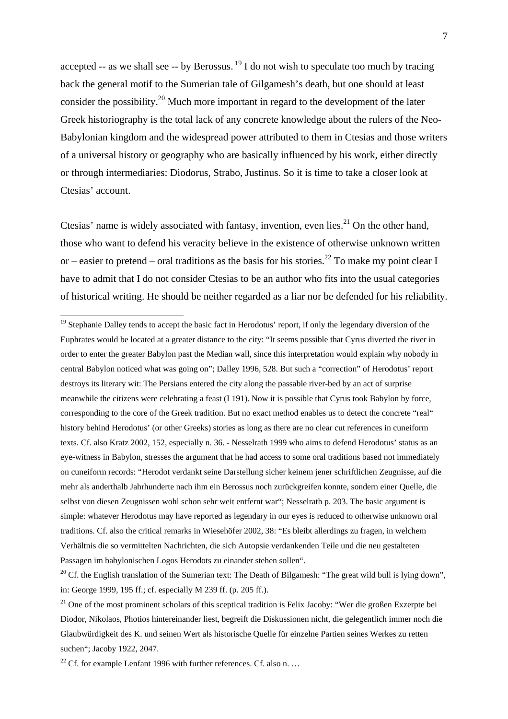accepted  $-$  as we shall see  $-$ - by Berossus. <sup>19</sup> I do not wish to speculate too much by tracing back the general motif to the Sumerian tale of Gilgamesh's death, but one should at least consider the possibility.<sup>20</sup> Much more important in regard to the development of the later Greek historiography is the total lack of any concrete knowledge about the rulers of the Neo-Babylonian kingdom and the widespread power attributed to them in Ctesias and those writers of a universal history or geography who are basically influenced by his work, either directly or through intermediaries: Diodorus, Strabo, Justinus. So it is time to take a closer look at Ctesias' account.

Ctesias' name is widely associated with fantasy, invention, even lies.<sup>21</sup> On the other hand, those who want to defend his veracity believe in the existence of otherwise unknown written or – easier to pretend – oral traditions as the basis for his stories.<sup>22</sup> To make my point clear I have to admit that I do not consider Ctesias to be an author who fits into the usual categories of historical writing. He should be neither regarded as a liar nor be defended for his reliability.

<span id="page-6-0"></span><sup>&</sup>lt;sup>19</sup> Stephanie Dalley tends to accept the basic fact in Herodotus' report, if only the legendary diversion of the Euphrates would be located at a greater distance to the city: "It seems possible that Cyrus diverted the river in order to enter the greater Babylon past the Median wall, since this interpretation would explain why nobody in central Babylon noticed what was going on"; Dalley 1996, 528. But such a "correction" of Herodotus' report destroys its literary wit: The Persians entered the city along the passable river-bed by an act of surprise meanwhile the citizens were celebrating a feast (I 191). Now it is possible that Cyrus took Babylon by force, corresponding to the core of the Greek tradition. But no exact method enables us to detect the concrete "real" history behind Herodotus' (or other Greeks) stories as long as there are no clear cut references in cuneiform texts. Cf. also Kratz 2002, 152, especially n. 36. **-** Nesselrath 1999 who aims to defend Herodotus' status as an eye-witness in Babylon, stresses the argument that he had access to some oral traditions based not immediately on cuneiform records: "Herodot verdankt seine Darstellung sicher keinem jener schriftlichen Zeugnisse, auf die mehr als anderthalb Jahrhunderte nach ihm ein Berossus noch zurückgreifen konnte, sondern einer Quelle, die selbst von diesen Zeugnissen wohl schon sehr weit entfernt war"; Nesselrath p. 203. The basic argument is simple: whatever Herodotus may have reported as legendary in our eyes is reduced to otherwise unknown oral traditions. Cf. also the critical remarks in Wiesehöfer 2002, 38: "Es bleibt allerdings zu fragen, in welchem Verhältnis die so vermittelten Nachrichten, die sich Autopsie verdankenden Teile und die neu gestalteten Passagen im babylonischen Logos Herodots zu einander stehen sollen".

<span id="page-6-1"></span><sup>&</sup>lt;sup>20</sup> Cf. the English translation of the Sumerian text: The Death of Bilgamesh: "The great wild bull is lying down", in: George 1999, 195 ff.; cf. especially M 239 ff. (p. 205 ff.).

<span id="page-6-2"></span><sup>&</sup>lt;sup>21</sup> One of the most prominent scholars of this sceptical tradition is Felix Jacoby: "Wer die großen Exzerpte bei Diodor, Nikolaos, Photios hintereinander liest, begreift die Diskussionen nicht, die gelegentlich immer noch die Glaubwürdigkeit des K. und seinen Wert als historische Quelle für einzelne Partien seines Werkes zu retten suchen"; Jacoby 1922, 2047.

<span id="page-6-3"></span><sup>&</sup>lt;sup>22</sup> Cf. for example Lenfant 1996 with further references. Cf. also n. ...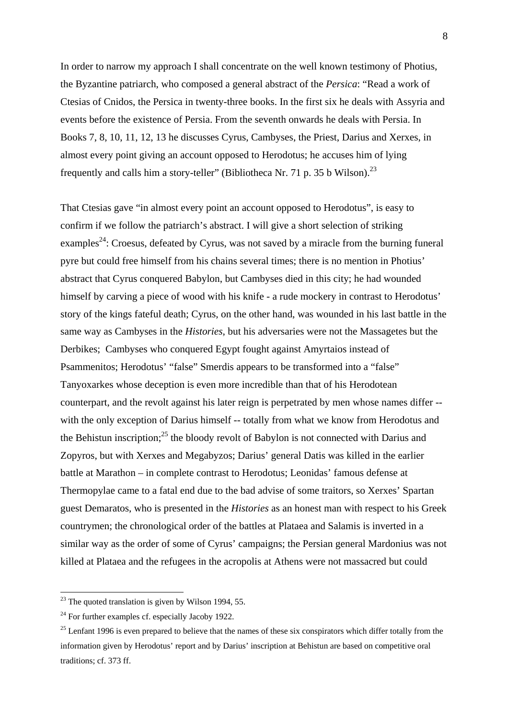In order to narrow my approach I shall concentrate on the well known testimony of Photius, the Byzantine patriarch, who composed a general abstract of the *Persica*: "Read a work of Ctesias of Cnidos, the Persica in twenty-three books. In the first six he deals with Assyria and events before the existence of Persia. From the seventh onwards he deals with Persia. In Books 7, 8, 10, 11, 12, 13 he discusses Cyrus, Cambyses, the Priest, Darius and Xerxes, in almost every point giving an account opposed to Herodotus; he accuses him of lying frequently and calls him a story-teller" (Bibliotheca Nr. 71 p. 35 b Wilson).<sup>23</sup>

That Ctesias gave "in almost every point an account opposed to Herodotus", is easy to confirm if we follow the patriarch's abstract. I will give a short selection of striking examples<sup>24</sup>: Croesus, defeated by Cyrus, was not saved by a miracle from the burning funeral pyre but could free himself from his chains several times; there is no mention in Photius' abstract that Cyrus conquered Babylon, but Cambyses died in this city; he had wounded himself by carving a piece of wood with his knife - a rude mockery in contrast to Herodotus' story of the kings fateful death; Cyrus, on the other hand, was wounded in his last battle in the same way as Cambyses in the *Histories*, but his adversaries were not the Massagetes but the Derbikes; Cambyses who conquered Egypt fought against Amyrtaios instead of Psammenitos; Herodotus' "false" Smerdis appears to be transformed into a "false" Tanyoxarkes whose deception is even more incredible than that of his Herodotean counterpart, and the revolt against his later reign is perpetrated by men whose names differ - with the only exception of Darius himself -- totally from what we know from Herodotus and the Behistun inscription; $^{25}$  the bloody revolt of Babylon is not connected with Darius and Zopyros, but with Xerxes and Megabyzos; Darius' general Datis was killed in the earlier battle at Marathon – in complete contrast to Herodotus; Leonidas' famous defense at Thermopylae came to a fatal end due to the bad advise of some traitors, so Xerxes' Spartan guest Demaratos, who is presented in the *Histories* as an honest man with respect to his Greek countrymen; the chronological order of the battles at Plataea and Salamis is inverted in a similar way as the order of some of Cyrus' campaigns; the Persian general Mardonius was not killed at Plataea and the refugees in the acropolis at Athens were not massacred but could

<span id="page-7-0"></span> $2<sup>23</sup>$  The quoted translation is given by Wilson 1994, 55.

<span id="page-7-1"></span> $24$  For further examples cf. especially Jacoby 1922.

<span id="page-7-2"></span> $^{25}$  Lenfant 1996 is even prepared to believe that the names of these six conspirators which differ totally from the information given by Herodotus' report and by Darius' inscription at Behistun are based on competitive oral traditions; cf. 373 ff.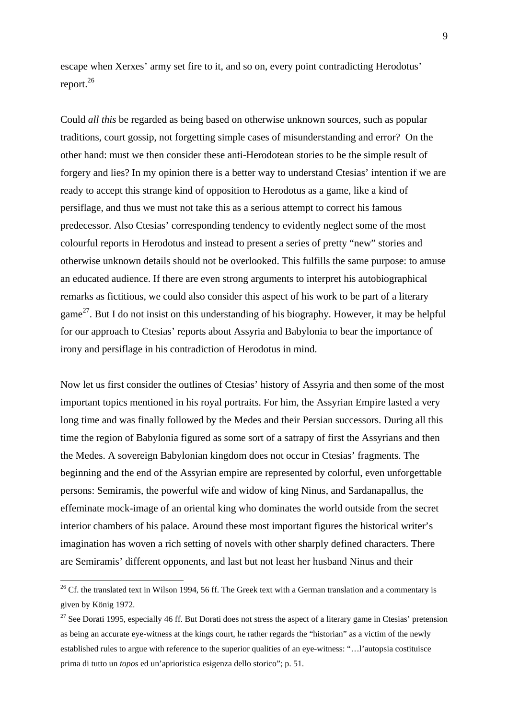escape when Xerxes' army set fire to it, and so on, every point contradicting Herodotus' report.<sup>26</sup>

Could *all this* be regarded as being based on otherwise unknown sources, such as popular traditions, court gossip, not forgetting simple cases of misunderstanding and error? On the other hand: must we then consider these anti-Herodotean stories to be the simple result of forgery and lies? In my opinion there is a better way to understand Ctesias' intention if we are ready to accept this strange kind of opposition to Herodotus as a game, like a kind of persiflage, and thus we must not take this as a serious attempt to correct his famous predecessor. Also Ctesias' corresponding tendency to evidently neglect some of the most colourful reports in Herodotus and instead to present a series of pretty "new" stories and otherwise unknown details should not be overlooked. This fulfills the same purpose: to amuse an educated audience. If there are even strong arguments to interpret his autobiographical remarks as fictitious, we could also consider this aspect of his work to be part of a literary game<sup>27</sup>. But I do not insist on this understanding of his biography. However, it may be helpful for our approach to Ctesias' reports about Assyria and Babylonia to bear the importance of irony and persiflage in his contradiction of Herodotus in mind.

Now let us first consider the outlines of Ctesias' history of Assyria and then some of the most important topics mentioned in his royal portraits. For him, the Assyrian Empire lasted a very long time and was finally followed by the Medes and their Persian successors. During all this time the region of Babylonia figured as some sort of a satrapy of first the Assyrians and then the Medes. A sovereign Babylonian kingdom does not occur in Ctesias' fragments. The beginning and the end of the Assyrian empire are represented by colorful, even unforgettable persons: Semiramis, the powerful wife and widow of king Ninus, and Sardanapallus, the effeminate mock-image of an oriental king who dominates the world outside from the secret interior chambers of his palace. Around these most important figures the historical writer's imagination has woven a rich setting of novels with other sharply defined characters. There are Semiramis' different opponents, and last but not least her husband Ninus and their

<span id="page-8-0"></span> $26$  Cf. the translated text in Wilson 1994, 56 ff. The Greek text with a German translation and a commentary is given by König 1972.

<span id="page-8-1"></span> $27$  See Dorati 1995, especially 46 ff. But Dorati does not stress the aspect of a literary game in Ctesias' pretension as being an accurate eye-witness at the kings court, he rather regards the "historian" as a victim of the newly established rules to argue with reference to the superior qualities of an eye-witness: "…l'autopsia costituisce prima di tutto un *topos* ed un'aprioristica esigenza dello storico"; p. 51.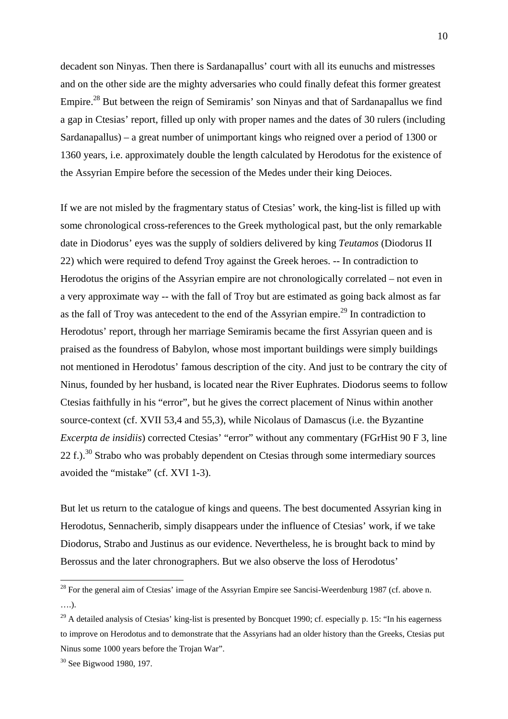decadent son Ninyas. Then there is Sardanapallus' court with all its eunuchs and mistresses and on the other side are the mighty adversaries who could finally defeat this former greatest Empire.<sup>28</sup> But between the reign of Semiramis' son Ninyas and that of Sardanapallus we find a gap in Ctesias' report, filled up only with proper names and the dates of 30 rulers (including Sardanapallus) – a great number of unimportant kings who reigned over a period of 1300 or 1360 years, i.e. approximately double the length calculated by Herodotus for the existence of the Assyrian Empire before the secession of the Medes under their king Deioces.

If we are not misled by the fragmentary status of Ctesias' work, the king-list is filled up with some chronological cross-references to the Greek mythological past, but the only remarkable date in Diodorus' eyes was the supply of soldiers delivered by king *Teutamos* (Diodorus II 22) which were required to defend Troy against the Greek heroes. -- In contradiction to Herodotus the origins of the Assyrian empire are not chronologically correlated – not even in a very approximate way -- with the fall of Troy but are estimated as going back almost as far as the fall of Troy was antecedent to the end of the Assyrian empire.<sup>29</sup> In contradiction to Herodotus' report, through her marriage Semiramis became the first Assyrian queen and is praised as the foundress of Babylon, whose most important buildings were simply buildings not mentioned in Herodotus' famous description of the city. And just to be contrary the city of Ninus, founded by her husband, is located near the River Euphrates. Diodorus seems to follow Ctesias faithfully in his "error", but he gives the correct placement of Ninus within another source-context (cf. XVII 53,4 and 55,3), while Nicolaus of Damascus (i.e. the Byzantine *Excerpta de insidiis*) corrected Ctesias' "error" without any commentary (FGrHist 90 F 3, line 22 f.).<sup>30</sup> Strabo who was probably dependent on Ctesias through some intermediary sources avoided the "mistake" (cf. XVI 1-3).

But let us return to the catalogue of kings and queens. The best documented Assyrian king in Herodotus, Sennacherib, simply disappears under the influence of Ctesias' work, if we take Diodorus, Strabo and Justinus as our evidence. Nevertheless, he is brought back to mind by Berossus and the later chronographers. But we also observe the loss of Herodotus'

<span id="page-9-0"></span> $28$  For the general aim of Ctesias' image of the Assyrian Empire see Sancisi-Weerdenburg 1987 (cf. above n. ….).

<span id="page-9-1"></span> $^{29}$  A detailed analysis of Ctesias' king-list is presented by Boncquet 1990; cf. especially p. 15: "In his eagerness to improve on Herodotus and to demonstrate that the Assyrians had an older history than the Greeks, Ctesias put Ninus some 1000 years before the Trojan War".

<span id="page-9-2"></span> $30$  See Bigwood 1980, 197.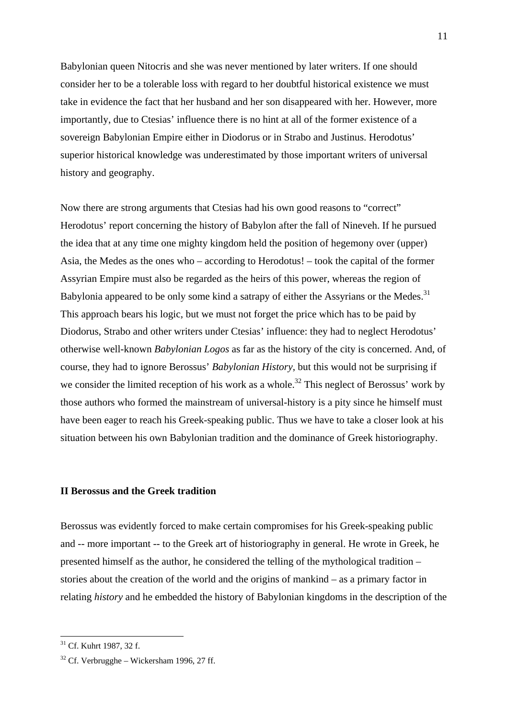Babylonian queen Nitocris and she was never mentioned by later writers. If one should consider her to be a tolerable loss with regard to her doubtful historical existence we must take in evidence the fact that her husband and her son disappeared with her. However, more importantly, due to Ctesias' influence there is no hint at all of the former existence of a sovereign Babylonian Empire either in Diodorus or in Strabo and Justinus. Herodotus' superior historical knowledge was underestimated by those important writers of universal history and geography.

Now there are strong arguments that Ctesias had his own good reasons to "correct" Herodotus' report concerning the history of Babylon after the fall of Nineveh. If he pursued the idea that at any time one mighty kingdom held the position of hegemony over (upper) Asia, the Medes as the ones who – according to Herodotus! – took the capital of the former Assyrian Empire must also be regarded as the heirs of this power, whereas the region of Babylonia appeared to be only some kind a satrapy of either the Assyrians or the Medes.<sup>31</sup> This approach bears his logic, but we must not forget the price which has to be paid by Diodorus, Strabo and other writers under Ctesias' influence: they had to neglect Herodotus' otherwise well-known *Babylonian Logos* as far as the history of the city is concerned. And, of course, they had to ignore Berossus' *Babylonian History*, but this would not be surprising if we consider the limited reception of his work as a whole.<sup>32</sup> This neglect of Berossus' work by those authors who formed the mainstream of universal-history is a pity since he himself must have been eager to reach his Greek-speaking public. Thus we have to take a closer look at his situation between his own Babylonian tradition and the dominance of Greek historiography.

### **II Berossus and the Greek tradition**

Berossus was evidently forced to make certain compromises for his Greek-speaking public and -- more important -- to the Greek art of historiography in general. He wrote in Greek, he presented himself as the author, he considered the telling of the mythological tradition – stories about the creation of the world and the origins of mankind – as a primary factor in relating *history* and he embedded the history of Babylonian kingdoms in the description of the

<span id="page-10-0"></span> $31$  Cf. Kuhrt 1987, 32 f.

<span id="page-10-1"></span> $32$  Cf. Verbrugghe – Wickersham 1996, 27 ff.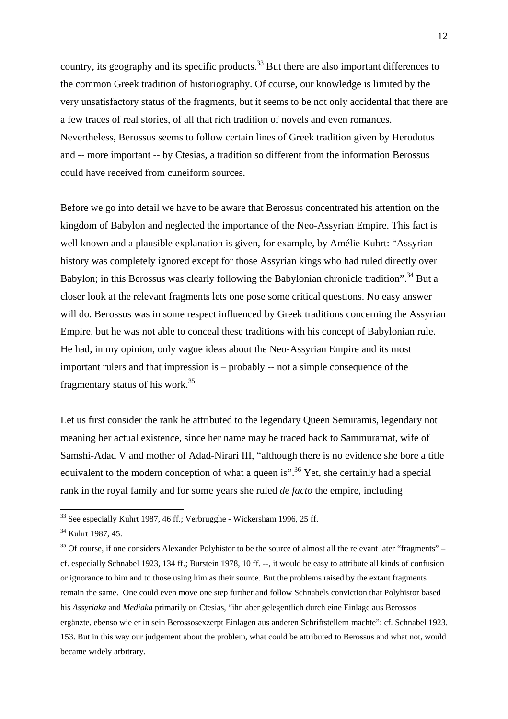country, its geography and its specific products.<sup>33</sup> But there are also important differences to the common Greek tradition of historiography. Of course, our knowledge is limited by the very unsatisfactory status of the fragments, but it seems to be not only accidental that there are a few traces of real stories, of all that rich tradition of novels and even romances. Nevertheless, Berossus seems to follow certain lines of Greek tradition given by Herodotus and -- more important -- by Ctesias, a tradition so different from the information Berossus could have received from cuneiform sources.

Before we go into detail we have to be aware that Berossus concentrated his attention on the kingdom of Babylon and neglected the importance of the Neo-Assyrian Empire. This fact is well known and a plausible explanation is given, for example, by Amélie Kuhrt: "Assyrian history was completely ignored except for those Assyrian kings who had ruled directly over Babylon; in this Berossus was clearly following the Babylonian chronicle tradition".<sup>34</sup> But a closer look at the relevant fragments lets one pose some critical questions. No easy answer will do. Berossus was in some respect influenced by Greek traditions concerning the Assyrian Empire, but he was not able to conceal these traditions with his concept of Babylonian rule. He had, in my opinion, only vague ideas about the Neo-Assyrian Empire and its most important rulers and that impression is – probably -- not a simple consequence of the fragmentary status of his work.[35](#page-11-2) 

Let us first consider the rank he attributed to the legendary Queen Semiramis, legendary not meaning her actual existence, since her name may be traced back to Sammuramat, wife of Samshi-Adad V and mother of Adad-Nirari III, "although there is no evidence she bore a title equivalent to the modern conception of what a queen is".<sup>36</sup> Yet, she certainly had a special rank in the royal family and for some years she ruled *de facto* the empire, including

<span id="page-11-0"></span> $33$  See especially Kuhrt 1987, 46 ff.; Verbrugghe - Wickersham 1996, 25 ff.

<span id="page-11-1"></span><sup>&</sup>lt;sup>34</sup> Kuhrt 1987, 45.

<span id="page-11-3"></span><span id="page-11-2"></span> $35$  Of course, if one considers Alexander Polyhistor to be the source of almost all the relevant later "fragments" – cf. especially Schnabel 1923, 134 ff.; Burstein 1978, 10 ff. --, it would be easy to attribute all kinds of confusion or ignorance to him and to those using him as their source. But the problems raised by the extant fragments remain the same. One could even move one step further and follow Schnabels conviction that Polyhistor based his *Assyriaka* and *Mediaka* primarily on Ctesias, "ihn aber gelegentlich durch eine Einlage aus Berossos ergänzte, ebenso wie er in sein Berossosexzerpt Einlagen aus anderen Schriftstellern machte"; cf. Schnabel 1923, 153. But in this way our judgement about the problem, what could be attributed to Berossus and what not, would became widely arbitrary.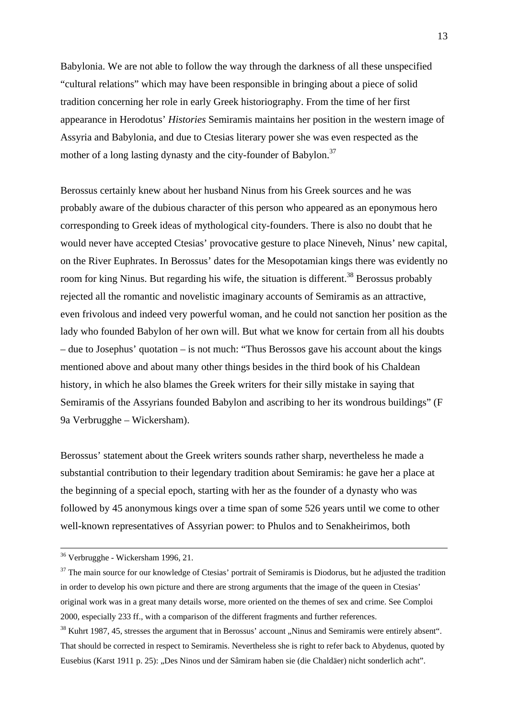Babylonia. We are not able to follow the way through the darkness of all these unspecified "cultural relations" which may have been responsible in bringing about a piece of solid tradition concerning her role in early Greek historiography. From the time of her first appearance in Herodotus' *Histories* Semiramis maintains her position in the western image of Assyria and Babylonia, and due to Ctesias literary power she was even respected as the mother of a long lasting dynasty and the city-founder of Babylon.<sup>37</sup>

Berossus certainly knew about her husband Ninus from his Greek sources and he was probably aware of the dubious character of this person who appeared as an eponymous hero corresponding to Greek ideas of mythological city-founders. There is also no doubt that he would never have accepted Ctesias' provocative gesture to place Nineveh, Ninus' new capital, on the River Euphrates. In Berossus' dates for the Mesopotamian kings there was evidently no room for king Ninus. But regarding his wife, the situation is different.<sup>38</sup> Berossus probably rejected all the romantic and novelistic imaginary accounts of Semiramis as an attractive, even frivolous and indeed very powerful woman, and he could not sanction her position as the lady who founded Babylon of her own will. But what we know for certain from all his doubts – due to Josephus' quotation – is not much: "Thus Berossos gave his account about the kings mentioned above and about many other things besides in the third book of his Chaldean history, in which he also blames the Greek writers for their silly mistake in saying that Semiramis of the Assyrians founded Babylon and ascribing to her its wondrous buildings" (F 9a Verbrugghe – Wickersham).

Berossus' statement about the Greek writers sounds rather sharp, nevertheless he made a substantial contribution to their legendary tradition about Semiramis: he gave her a place at the beginning of a special epoch, starting with her as the founder of a dynasty who was followed by 45 anonymous kings over a time span of some 526 years until we come to other well-known representatives of Assyrian power: to Phulos and to Senakheirimos, both

 <sup>36</sup> Verbrugghe - Wickersham 1996, 21.

<span id="page-12-0"></span><sup>&</sup>lt;sup>37</sup> The main source for our knowledge of Ctesias' portrait of Semiramis is Diodorus, but he adjusted the tradition in order to develop his own picture and there are strong arguments that the image of the queen in Ctesias' original work was in a great many details worse, more oriented on the themes of sex and crime. See Comploi 2000, especially 233 ff., with a comparison of the different fragments and further references.

<span id="page-12-1"></span> $38$  Kuhrt 1987, 45, stresses the argument that in Berossus' account . Ninus and Semiramis were entirely absent". That should be corrected in respect to Semiramis. Nevertheless she is right to refer back to Abydenus, quoted by Eusebius (Karst 1911 p. 25): "Des Ninos und der Sâmiram haben sie (die Chaldäer) nicht sonderlich acht".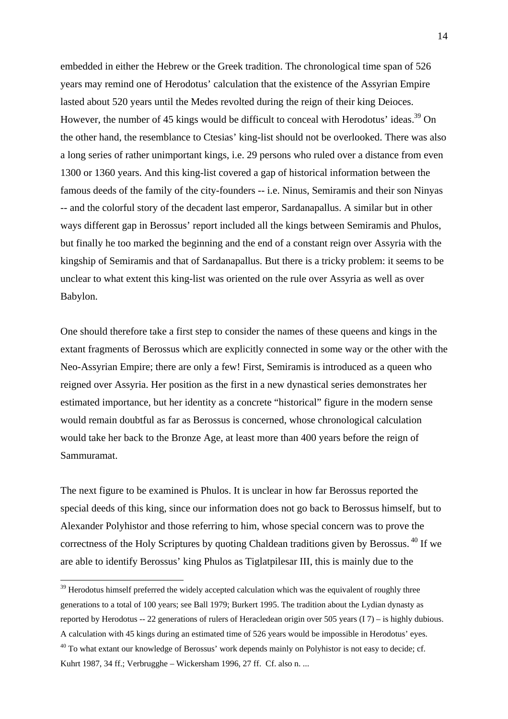embedded in either the Hebrew or the Greek tradition. The chronological time span of 526 years may remind one of Herodotus' calculation that the existence of the Assyrian Empire lasted about 520 years until the Medes revolted during the reign of their king Deioces. However, the number of 45 kings would be difficult to conceal with Herodotus' ideas.<sup>39</sup> On the other hand, the resemblance to Ctesias' king-list should not be overlooked. There was also a long series of rather unimportant kings, i.e. 29 persons who ruled over a distance from even 1300 or 1360 years. And this king-list covered a gap of historical information between the famous deeds of the family of the city-founders -- i.e. Ninus, Semiramis and their son Ninyas -- and the colorful story of the decadent last emperor, Sardanapallus. A similar but in other ways different gap in Berossus' report included all the kings between Semiramis and Phulos, but finally he too marked the beginning and the end of a constant reign over Assyria with the kingship of Semiramis and that of Sardanapallus. But there is a tricky problem: it seems to be unclear to what extent this king-list was oriented on the rule over Assyria as well as over Babylon.

One should therefore take a first step to consider the names of these queens and kings in the extant fragments of Berossus which are explicitly connected in some way or the other with the Neo-Assyrian Empire; there are only a few! First, Semiramis is introduced as a queen who reigned over Assyria. Her position as the first in a new dynastical series demonstrates her estimated importance, but her identity as a concrete "historical" figure in the modern sense would remain doubtful as far as Berossus is concerned, whose chronological calculation would take her back to the Bronze Age, at least more than 400 years before the reign of Sammuramat.

The next figure to be examined is Phulos. It is unclear in how far Berossus reported the special deeds of this king, since our information does not go back to Berossus himself, but to Alexander Polyhistor and those referring to him, whose special concern was to prove the correctness of the Holy Scriptures by quoting Chaldean traditions given by Berossus. [40](#page-13-1) If we are able to identify Berossus' king Phulos as Tiglatpilesar III, this is mainly due to the

<span id="page-13-1"></span><span id="page-13-0"></span><sup>&</sup>lt;sup>39</sup> Herodotus himself preferred the widely accepted calculation which was the equivalent of roughly three generations to a total of 100 years; see Ball 1979; Burkert 1995. The tradition about the Lydian dynasty as reported by Herodotus -- 22 generations of rulers of Heracledean origin over 505 years (I 7) – is highly dubious. A calculation with 45 kings during an estimated time of 526 years would be impossible in Herodotus' eyes. <sup>40</sup> To what extant our knowledge of Berossus' work depends mainly on Polyhistor is not easy to decide; cf.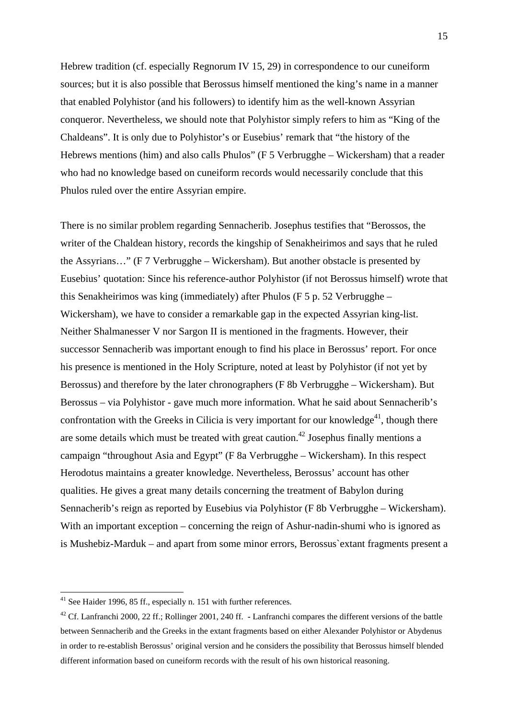Hebrew tradition (cf. especially Regnorum IV 15, 29) in correspondence to our cuneiform sources; but it is also possible that Berossus himself mentioned the king's name in a manner that enabled Polyhistor (and his followers) to identify him as the well-known Assyrian conqueror. Nevertheless, we should note that Polyhistor simply refers to him as "King of the Chaldeans". It is only due to Polyhistor's or Eusebius' remark that "the history of the Hebrews mentions (him) and also calls Phulos" (F 5 Verbrugghe – Wickersham) that a reader who had no knowledge based on cuneiform records would necessarily conclude that this Phulos ruled over the entire Assyrian empire.

There is no similar problem regarding Sennacherib. Josephus testifies that "Berossos, the writer of the Chaldean history, records the kingship of Senakheirimos and says that he ruled the Assyrians…" (F 7 Verbrugghe – Wickersham). But another obstacle is presented by Eusebius' quotation: Since his reference-author Polyhistor (if not Berossus himself) wrote that this Senakheirimos was king (immediately) after Phulos (F 5 p. 52 Verbrugghe – Wickersham), we have to consider a remarkable gap in the expected Assyrian king-list. Neither Shalmanesser V nor Sargon II is mentioned in the fragments. However, their successor Sennacherib was important enough to find his place in Berossus' report. For once his presence is mentioned in the Holy Scripture, noted at least by Polyhistor (if not yet by Berossus) and therefore by the later chronographers (F 8b Verbrugghe – Wickersham). But Berossus – via Polyhistor - gave much more information. What he said about Sennacherib's confrontation with the Greeks in Cilicia is very important for our knowledge<sup>41</sup>, though there are some details which must be treated with great caution.<sup>42</sup> Josephus finally mentions a campaign "throughout Asia and Egypt" (F 8a Verbrugghe – Wickersham). In this respect Herodotus maintains a greater knowledge. Nevertheless, Berossus' account has other qualities. He gives a great many details concerning the treatment of Babylon during Sennacherib's reign as reported by Eusebius via Polyhistor (F 8b Verbrugghe – Wickersham). With an important exception – concerning the reign of Ashur-nadin-shumi who is ignored as is Mushebiz-Marduk – and apart from some minor errors, Berossus`extant fragments present a

<span id="page-14-0"></span> $41$  See Haider 1996, 85 ff., especially n. 151 with further references.

<span id="page-14-1"></span><sup>42</sup> Cf. Lanfranchi 2000, 22 ff.; Rollinger 2001, 240 ff. **-** Lanfranchi compares the different versions of the battle between Sennacherib and the Greeks in the extant fragments based on either Alexander Polyhistor or Abydenus in order to re-establish Berossus' original version and he considers the possibility that Berossus himself blended different information based on cuneiform records with the result of his own historical reasoning.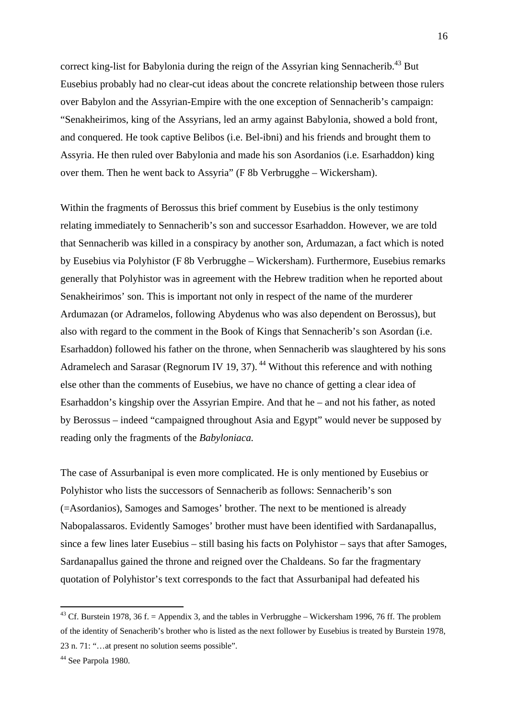correct king-list for Babylonia during the reign of the Assyrian king Sennacherib.<sup>43</sup> But Eusebius probably had no clear-cut ideas about the concrete relationship between those rulers over Babylon and the Assyrian-Empire with the one exception of Sennacherib's campaign: "Senakheirimos, king of the Assyrians, led an army against Babylonia, showed a bold front, and conquered. He took captive Belibos (i.e. Bel-ibni) and his friends and brought them to Assyria. He then ruled over Babylonia and made his son Asordanios (i.e. Esarhaddon) king over them. Then he went back to Assyria" (F 8b Verbrugghe – Wickersham).

Within the fragments of Berossus this brief comment by Eusebius is the only testimony relating immediately to Sennacherib's son and successor Esarhaddon. However, we are told that Sennacherib was killed in a conspiracy by another son, Ardumazan, a fact which is noted by Eusebius via Polyhistor (F 8b Verbrugghe – Wickersham). Furthermore, Eusebius remarks generally that Polyhistor was in agreement with the Hebrew tradition when he reported about Senakheirimos' son. This is important not only in respect of the name of the murderer Ardumazan (or Adramelos, following Abydenus who was also dependent on Berossus), but also with regard to the comment in the Book of Kings that Sennacherib's son Asordan (i.e. Esarhaddon) followed his father on the throne, when Sennacherib was slaughtered by his sons Adramelech and Sarasar (Regnorum IV 19, 37).<sup>44</sup> Without this reference and with nothing else other than the comments of Eusebius, we have no chance of getting a clear idea of Esarhaddon's kingship over the Assyrian Empire. And that he – and not his father, as noted by Berossus – indeed "campaigned throughout Asia and Egypt" would never be supposed by reading only the fragments of the *Babyloniaca.*

The case of Assurbanipal is even more complicated. He is only mentioned by Eusebius or Polyhistor who lists the successors of Sennacherib as follows: Sennacherib's son (=Asordanios), Samoges and Samoges' brother. The next to be mentioned is already Nabopalassaros. Evidently Samoges' brother must have been identified with Sardanapallus, since a few lines later Eusebius – still basing his facts on Polyhistor – says that after Samoges, Sardanapallus gained the throne and reigned over the Chaldeans. So far the fragmentary quotation of Polyhistor's text corresponds to the fact that Assurbanipal had defeated his

<span id="page-15-0"></span><sup>&</sup>lt;sup>43</sup> Cf. Burstein 1978, 36 f. = Appendix 3, and the tables in Verbrugghe – Wickersham 1996, 76 ff. The problem of the identity of Senacherib's brother who is listed as the next follower by Eusebius is treated by Burstein 1978, 23 n. 71: "…at present no solution seems possible".

<span id="page-15-1"></span><sup>&</sup>lt;sup>44</sup> See Parpola 1980.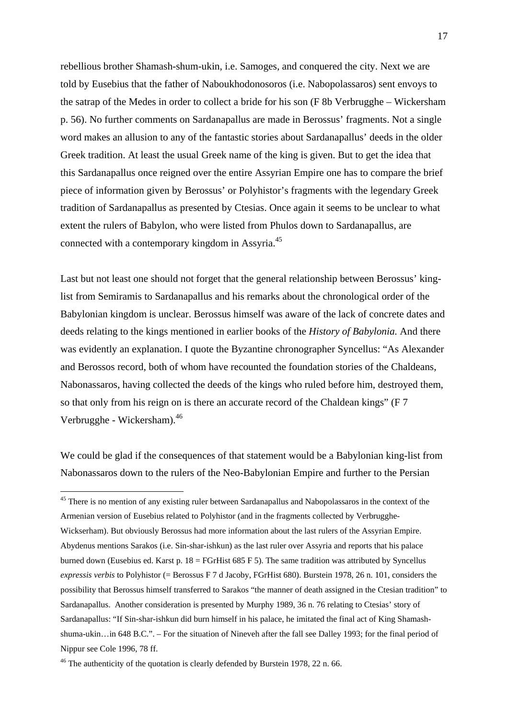rebellious brother Shamash-shum-ukin, i.e. Samoges, and conquered the city. Next we are told by Eusebius that the father of Naboukhodonosoros (i.e. Nabopolassaros) sent envoys to the satrap of the Medes in order to collect a bride for his son (F 8b Verbrugghe – Wickersham p. 56). No further comments on Sardanapallus are made in Berossus' fragments. Not a single word makes an allusion to any of the fantastic stories about Sardanapallus' deeds in the older Greek tradition. At least the usual Greek name of the king is given. But to get the idea that this Sardanapallus once reigned over the entire Assyrian Empire one has to compare the brief piece of information given by Berossus' or Polyhistor's fragments with the legendary Greek tradition of Sardanapallus as presented by Ctesias. Once again it seems to be unclear to what extent the rulers of Babylon, who were listed from Phulos down to Sardanapallus, are connected with a contemporary kingdom in Assyria[.45](#page-16-0) 

Last but not least one should not forget that the general relationship between Berossus' kinglist from Semiramis to Sardanapallus and his remarks about the chronological order of the Babylonian kingdom is unclear. Berossus himself was aware of the lack of concrete dates and deeds relating to the kings mentioned in earlier books of the *History of Babylonia.* And there was evidently an explanation. I quote the Byzantine chronographer Syncellus: "As Alexander and Berossos record, both of whom have recounted the foundation stories of the Chaldeans, Nabonassaros, having collected the deeds of the kings who ruled before him, destroyed them, so that only from his reign on is there an accurate record of the Chaldean kings" (F 7 Verbrugghe - Wickersham).[46](#page-16-1)

We could be glad if the consequences of that statement would be a Babylonian king-list from Nabonassaros down to the rulers of the Neo-Babylonian Empire and further to the Persian

<span id="page-16-0"></span><sup>&</sup>lt;sup>45</sup> There is no mention of any existing ruler between Sardanapallus and Nabopolassaros in the context of the Armenian version of Eusebius related to Polyhistor (and in the fragments collected by Verbrugghe-Wickserham). But obviously Berossus had more information about the last rulers of the Assyrian Empire. Abydenus mentions Sarakos (i.e. Sin-shar-ishkun) as the last ruler over Assyria and reports that his palace burned down (Eusebius ed. Karst p. 18 = FGrHist 685 F 5). The same tradition was attributed by Syncellus *expressis verbis* to Polyhistor (= Berossus F 7 d Jacoby, FGrHist 680). Burstein 1978, 26 n. 101, considers the possibility that Berossus himself transferred to Sarakos "the manner of death assigned in the Ctesian tradition" to Sardanapallus. Another consideration is presented by Murphy 1989, 36 n. 76 relating to Ctesias' story of Sardanapallus: "If Sin-shar-ishkun did burn himself in his palace, he imitated the final act of King Shamashshuma-ukin…in 648 B.C.". – For the situation of Nineveh after the fall see Dalley 1993; for the final period of Nippur see Cole 1996, 78 ff.

<span id="page-16-1"></span><sup>&</sup>lt;sup>46</sup> The authenticity of the quotation is clearly defended by Burstein 1978, 22 n. 66.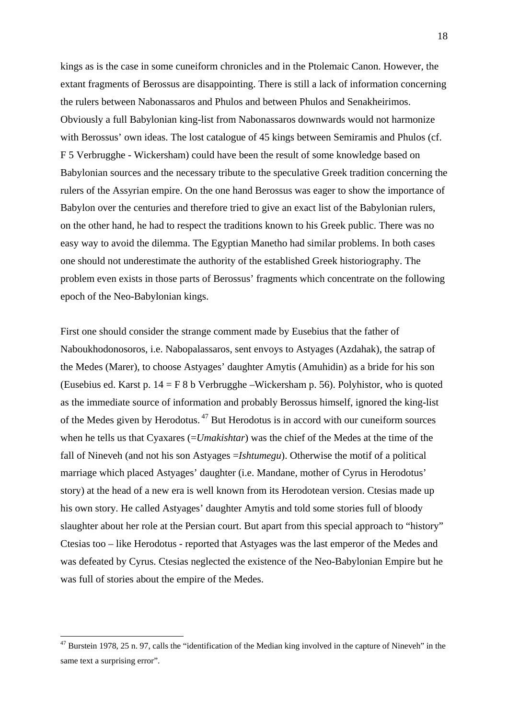kings as is the case in some cuneiform chronicles and in the Ptolemaic Canon. However, the extant fragments of Berossus are disappointing. There is still a lack of information concerning the rulers between Nabonassaros and Phulos and between Phulos and Senakheirimos. Obviously a full Babylonian king-list from Nabonassaros downwards would not harmonize with Berossus' own ideas. The lost catalogue of 45 kings between Semiramis and Phulos (cf. F 5 Verbrugghe - Wickersham) could have been the result of some knowledge based on Babylonian sources and the necessary tribute to the speculative Greek tradition concerning the rulers of the Assyrian empire. On the one hand Berossus was eager to show the importance of Babylon over the centuries and therefore tried to give an exact list of the Babylonian rulers, on the other hand, he had to respect the traditions known to his Greek public. There was no easy way to avoid the dilemma. The Egyptian Manetho had similar problems. In both cases one should not underestimate the authority of the established Greek historiography. The problem even exists in those parts of Berossus' fragments which concentrate on the following epoch of the Neo-Babylonian kings.

First one should consider the strange comment made by Eusebius that the father of Naboukhodonosoros, i.e. Nabopalassaros, sent envoys to Astyages (Azdahak), the satrap of the Medes (Marer), to choose Astyages' daughter Amytis (Amuhidin) as a bride for his son (Eusebius ed. Karst p.  $14 = F 8 b$  Verbrugghe –Wickersham p. 56). Polyhistor, who is quoted as the immediate source of information and probably Berossus himself, ignored the king-list of the Medes given by Herodotus. [47](#page-17-0) But Herodotus is in accord with our cuneiform sources when he tells us that Cyaxares (=*Umakishtar*) was the chief of the Medes at the time of the fall of Nineveh (and not his son Astyages =*Ishtumegu*). Otherwise the motif of a political marriage which placed Astyages' daughter (i.e. Mandane, mother of Cyrus in Herodotus' story) at the head of a new era is well known from its Herodotean version. Ctesias made up his own story. He called Astyages' daughter Amytis and told some stories full of bloody slaughter about her role at the Persian court. But apart from this special approach to "history" Ctesias too – like Herodotus - reported that Astyages was the last emperor of the Medes and was defeated by Cyrus. Ctesias neglected the existence of the Neo-Babylonian Empire but he was full of stories about the empire of the Medes.

 $\overline{a}$ 

<span id="page-17-0"></span><sup>&</sup>lt;sup>47</sup> Burstein 1978, 25 n. 97, calls the "identification of the Median king involved in the capture of Nineveh" in the same text a surprising error".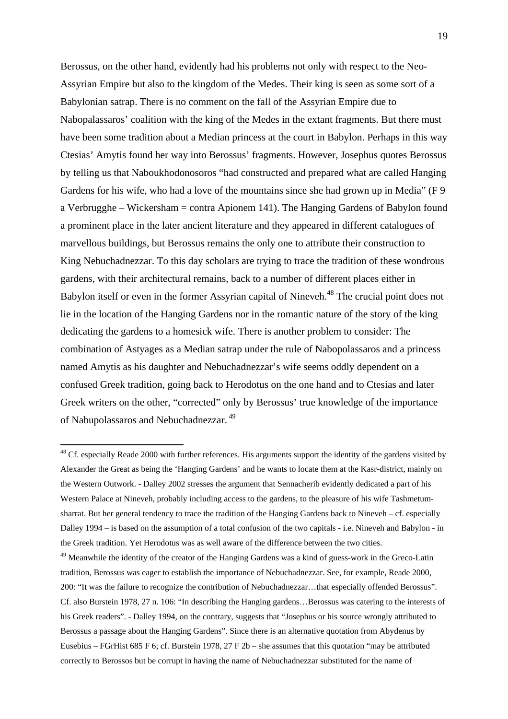Berossus, on the other hand, evidently had his problems not only with respect to the Neo-Assyrian Empire but also to the kingdom of the Medes. Their king is seen as some sort of a Babylonian satrap. There is no comment on the fall of the Assyrian Empire due to Nabopalassaros' coalition with the king of the Medes in the extant fragments. But there must have been some tradition about a Median princess at the court in Babylon. Perhaps in this way Ctesias' Amytis found her way into Berossus' fragments. However, Josephus quotes Berossus by telling us that Naboukhodonosoros "had constructed and prepared what are called Hanging Gardens for his wife, who had a love of the mountains since she had grown up in Media" (F 9 a Verbrugghe – Wickersham = contra Apionem 141). The Hanging Gardens of Babylon found a prominent place in the later ancient literature and they appeared in different catalogues of marvellous buildings, but Berossus remains the only one to attribute their construction to King Nebuchadnezzar. To this day scholars are trying to trace the tradition of these wondrous gardens, with their architectural remains, back to a number of different places either in Babylon itself or even in the former Assyrian capital of Nineveh.<sup>48</sup> The crucial point does not lie in the location of the Hanging Gardens nor in the romantic nature of the story of the king dedicating the gardens to a homesick wife. There is another problem to consider: The combination of Astyages as a Median satrap under the rule of Nabopolassaros and a princess named Amytis as his daughter and Nebuchadnezzar's wife seems oddly dependent on a confused Greek tradition, going back to Herodotus on the one hand and to Ctesias and later Greek writers on the other, "corrected" only by Berossus' true knowledge of the importance of Nabupolassaros and Nebuchadnezzar.<sup>49</sup>

<span id="page-18-0"></span> $48$  Cf. especially Reade 2000 with further references. His arguments support the identity of the gardens visited by Alexander the Great as being the 'Hanging Gardens' and he wants to locate them at the Kasr-district, mainly on the Western Outwork. - Dalley 2002 stresses the argument that Sennacherib evidently dedicated a part of his Western Palace at Nineveh, probably including access to the gardens, to the pleasure of his wife Tashmetumsharrat. But her general tendency to trace the tradition of the Hanging Gardens back to Nineveh – cf. especially Dalley 1994 – is based on the assumption of a total confusion of the two capitals - i.e. Nineveh and Babylon - in the Greek tradition. Yet Herodotus was as well aware of the difference between the two cities.

<span id="page-18-1"></span><sup>&</sup>lt;sup>49</sup> Meanwhile the identity of the creator of the Hanging Gardens was a kind of guess-work in the Greco-Latin tradition, Berossus was eager to establish the importance of Nebuchadnezzar. See, for example, Reade 2000, 200: "It was the failure to recognize the contribution of Nebuchadnezzar…that especially offended Berossus". Cf. also Burstein 1978, 27 n. 106: "In describing the Hanging gardens…Berossus was catering to the interests of his Greek readers". - Dalley 1994, on the contrary, suggests that "Josephus or his source wrongly attributed to Berossus a passage about the Hanging Gardens". Since there is an alternative quotation from Abydenus by Eusebius – FGrHist 685 F 6; cf. Burstein 1978, 27 F 2b – she assumes that this quotation "may be attributed correctly to Berossos but be corrupt in having the name of Nebuchadnezzar substituted for the name of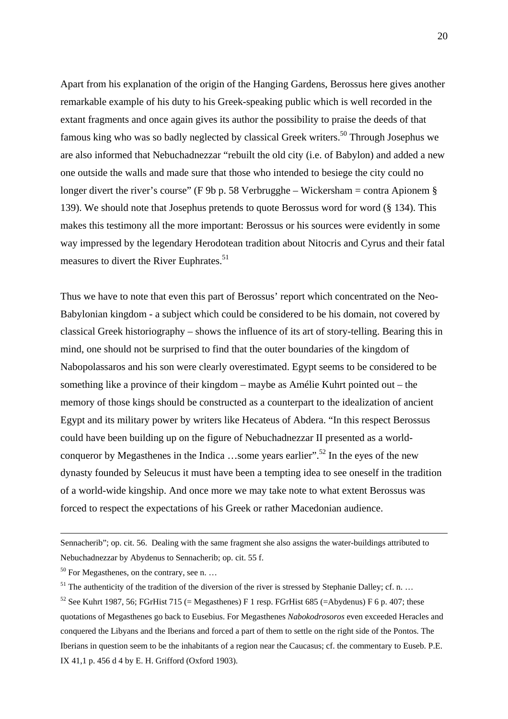Apart from his explanation of the origin of the Hanging Gardens, Berossus here gives another remarkable example of his duty to his Greek-speaking public which is well recorded in the extant fragments and once again gives its author the possibility to praise the deeds of that famous king who was so badly neglected by classical Greek writers.<sup>50</sup> Through Josephus we are also informed that Nebuchadnezzar "rebuilt the old city (i.e. of Babylon) and added a new one outside the walls and made sure that those who intended to besiege the city could no longer divert the river's course" (F 9b p. 58 Verbrugghe – Wickersham = contra Apionem § 139). We should note that Josephus pretends to quote Berossus word for word (§ 134). This makes this testimony all the more important: Berossus or his sources were evidently in some way impressed by the legendary Herodotean tradition about Nitocris and Cyrus and their fatal measures to divert the River Euphrates.<sup>51</sup>

Thus we have to note that even this part of Berossus' report which concentrated on the Neo-Babylonian kingdom - a subject which could be considered to be his domain, not covered by classical Greek historiography – shows the influence of its art of story-telling. Bearing this in mind, one should not be surprised to find that the outer boundaries of the kingdom of Nabopolassaros and his son were clearly overestimated. Egypt seems to be considered to be something like a province of their kingdom – maybe as Amélie Kuhrt pointed out – the memory of those kings should be constructed as a counterpart to the idealization of ancient Egypt and its military power by writers like Hecateus of Abdera. "In this respect Berossus could have been building up on the figure of Nebuchadnezzar II presented as a worldconqueror by Megasthenes in the Indica ...some years earlier".<sup>52</sup> In the eyes of the new dynasty founded by Seleucus it must have been a tempting idea to see oneself in the tradition of a world-wide kingship. And once more we may take note to what extent Berossus was forced to respect the expectations of his Greek or rather Macedonian audience.

Sennacherib"; op. cit. 56.Dealing with the same fragment she also assigns the water-buildings attributed to Nebuchadnezzar by Abydenus to Sennacherib; op. cit. 55 f.

<span id="page-19-0"></span> $50$  For Megasthenes, on the contrary, see n...

<span id="page-19-1"></span> $51$  The authenticity of the tradition of the diversion of the river is stressed by Stephanie Dalley; cf. n. ...

<span id="page-19-2"></span><sup>&</sup>lt;sup>52</sup> See Kuhrt 1987, 56; FGrHist 715 (= Megasthenes) F 1 resp. FGrHist 685 (= Abydenus) F 6 p. 407; these quotations of Megasthenes go back to Eusebius. For Megasthenes *Nabokodrosoros* even exceeded Heracles and conquered the Libyans and the Iberians and forced a part of them to settle on the right side of the Pontos. The Iberians in question seem to be the inhabitants of a region near the Caucasus; cf. the commentary to Euseb. P.E. IX 41,1 p. 456 d 4 by E. H. Grifford (Oxford 1903).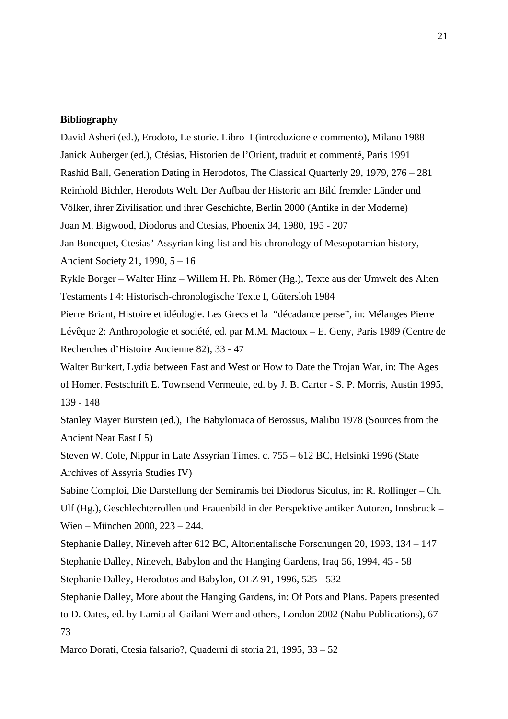#### **Bibliography**

David Asheri (ed.), Erodoto, Le storie. Libro I (introduzione e commento), Milano 1988 Janick Auberger (ed.), Ctésias, Historien de l'Orient, traduit et commenté, Paris 1991 Rashid Ball, Generation Dating in Herodotos, The Classical Quarterly 29, 1979, 276 – 281 Reinhold Bichler, Herodots Welt. Der Aufbau der Historie am Bild fremder Länder und Völker, ihrer Zivilisation und ihrer Geschichte, Berlin 2000 (Antike in der Moderne) Joan M. Bigwood, Diodorus and Ctesias, Phoenix 34, 1980, 195 - 207 Jan Boncquet, Ctesias' Assyrian king-list and his chronology of Mesopotamian history, Ancient Society 21, 1990, 5 – 16 Rykle Borger – Walter Hinz – Willem H. Ph. Römer (Hg.), Texte aus der Umwelt des Alten Testaments I 4: Historisch-chronologische Texte I, Gütersloh 1984 Pierre Briant, Histoire et idéologie. Les Grecs et la "décadance perse", in: Mélanges Pierre Lévêque 2: Anthropologie et société, ed. par M.M. Mactoux – E. Geny, Paris 1989 (Centre de Recherches d'Histoire Ancienne 82), 33 - 47 Walter Burkert, Lydia between East and West or How to Date the Trojan War, in: The Ages of Homer. Festschrift E. Townsend Vermeule, ed. by J. B. Carter - S. P. Morris, Austin 1995, 139 - 148 Stanley Mayer Burstein (ed.), The Babyloniaca of Berossus, Malibu 1978 (Sources from the Ancient Near East I 5) Steven W. Cole, Nippur in Late Assyrian Times. c. 755 – 612 BC, Helsinki 1996 (State Archives of Assyria Studies IV) Sabine Comploi, Die Darstellung der Semiramis bei Diodorus Siculus, in: R. Rollinger – Ch. Ulf (Hg.), Geschlechterrollen und Frauenbild in der Perspektive antiker Autoren, Innsbruck – Wien – München 2000, 223 – 244. Stephanie Dalley, Nineveh after 612 BC, Altorientalische Forschungen 20, 1993, 134 – 147 Stephanie Dalley, Nineveh, Babylon and the Hanging Gardens, Iraq 56, 1994, 45 - 58 Stephanie Dalley, Herodotos and Babylon, OLZ 91, 1996, 525 - 532 Stephanie Dalley, More about the Hanging Gardens, in: Of Pots and Plans. Papers presented to D. Oates, ed. by Lamia al-Gailani Werr and others, London 2002 (Nabu Publications), 67 - 73

Marco Dorati, Ctesia falsario?, Quaderni di storia 21, 1995, 33 – 52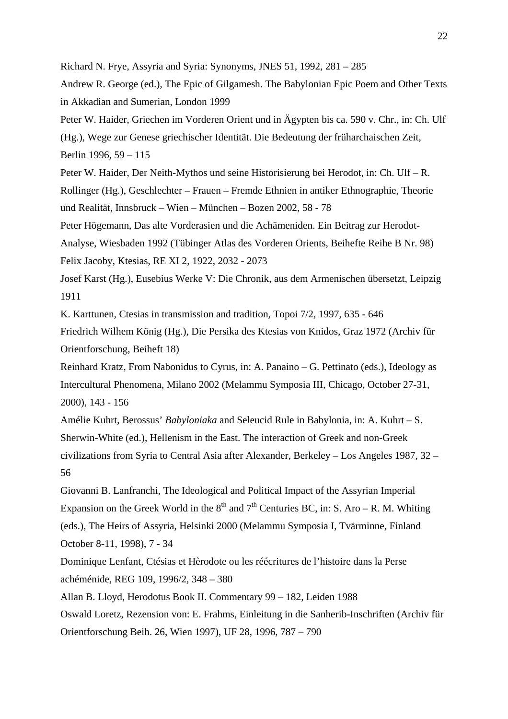Richard N. Frye, Assyria and Syria: Synonyms, JNES 51, 1992, 281 – 285

Andrew R. George (ed.), The Epic of Gilgamesh. The Babylonian Epic Poem and Other Texts in Akkadian and Sumerian, London 1999

Peter W. Haider, Griechen im Vorderen Orient und in Ägypten bis ca. 590 v. Chr., in: Ch. Ulf (Hg.), Wege zur Genese griechischer Identität. Die Bedeutung der früharchaischen Zeit, Berlin 1996, 59 – 115

Peter W. Haider, Der Neith-Mythos und seine Historisierung bei Herodot, in: Ch. Ulf – R. Rollinger (Hg.), Geschlechter – Frauen – Fremde Ethnien in antiker Ethnographie, Theorie und Realität, Innsbruck – Wien – München – Bozen 2002, 58 - 78

Peter Högemann, Das alte Vorderasien und die Achämeniden. Ein Beitrag zur Herodot-

Analyse, Wiesbaden 1992 (Tübinger Atlas des Vorderen Orients, Beihefte Reihe B Nr. 98) Felix Jacoby, Ktesias, RE XI 2, 1922, 2032 - 2073

Josef Karst (Hg.), Eusebius Werke V: Die Chronik, aus dem Armenischen übersetzt, Leipzig 1911

K. Karttunen, Ctesias in transmission and tradition, Topoi 7/2, 1997, 635 - 646

Friedrich Wilhem König (Hg.), Die Persika des Ktesias von Knidos, Graz 1972 (Archiv für Orientforschung, Beiheft 18)

Reinhard Kratz, From Nabonidus to Cyrus, in: A. Panaino – G. Pettinato (eds.), Ideology as Intercultural Phenomena, Milano 2002 (Melammu Symposia III, Chicago, October 27-31, 2000), 143 - 156

Amélie Kuhrt, Berossus' *Babyloniaka* and Seleucid Rule in Babylonia, in: A. Kuhrt – S. Sherwin-White (ed.), Hellenism in the East. The interaction of Greek and non-Greek civilizations from Syria to Central Asia after Alexander, Berkeley – Los Angeles 1987, 32 – 56

Giovanni B. Lanfranchi, The Ideological and Political Impact of the Assyrian Imperial Expansion on the Greek World in the  $8<sup>th</sup>$  and  $7<sup>th</sup>$  Centuries BC, in: S. Aro – R. M. Whiting (eds.), The Heirs of Assyria, Helsinki 2000 (Melammu Symposia I, Tvärminne, Finland October 8-11, 1998), 7 - 34

Dominique Lenfant, Ctésias et Hèrodote ou les réécritures de l'histoire dans la Perse achéménide, REG 109, 1996/2, 348 – 380

Allan B. Lloyd, Herodotus Book II. Commentary 99 – 182, Leiden 1988

Oswald Loretz, Rezension von: E. Frahms, Einleitung in die Sanherib-Inschriften (Archiv für Orientforschung Beih. 26, Wien 1997), UF 28, 1996, 787 – 790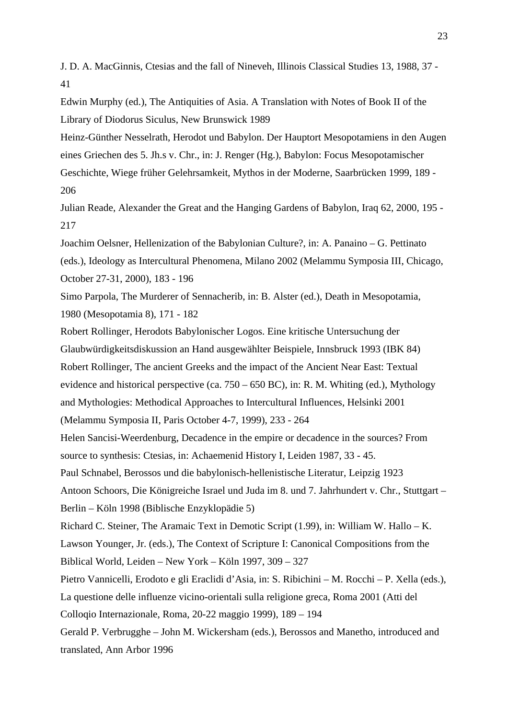J. D. A. MacGinnis, Ctesias and the fall of Nineveh, Illinois Classical Studies 13, 1988, 37 - 41

Edwin Murphy (ed.), The Antiquities of Asia. A Translation with Notes of Book II of the Library of Diodorus Siculus, New Brunswick 1989

Heinz-Günther Nesselrath, Herodot und Babylon. Der Hauptort Mesopotamiens in den Augen eines Griechen des 5. Jh.s v. Chr., in: J. Renger (Hg.), Babylon: Focus Mesopotamischer Geschichte, Wiege früher Gelehrsamkeit, Mythos in der Moderne, Saarbrücken 1999, 189 - 206

Julian Reade, Alexander the Great and the Hanging Gardens of Babylon, Iraq 62, 2000, 195 - 217

Joachim Oelsner, Hellenization of the Babylonian Culture?, in: A. Panaino – G. Pettinato (eds.), Ideology as Intercultural Phenomena, Milano 2002 (Melammu Symposia III, Chicago, October 27-31, 2000), 183 - 196

Simo Parpola, The Murderer of Sennacherib, in: B. Alster (ed.), Death in Mesopotamia, 1980 (Mesopotamia 8), 171 - 182

Robert Rollinger, Herodots Babylonischer Logos. Eine kritische Untersuchung der Glaubwürdigkeitsdiskussion an Hand ausgewählter Beispiele, Innsbruck 1993 (IBK 84) Robert Rollinger, The ancient Greeks and the impact of the Ancient Near East: Textual evidence and historical perspective (ca. 750 – 650 BC), in: R. M. Whiting (ed.), Mythology and Mythologies: Methodical Approaches to Intercultural Influences, Helsinki 2001 (Melammu Symposia II, Paris October 4-7, 1999), 233 - 264

Helen Sancisi-Weerdenburg, Decadence in the empire or decadence in the sources? From source to synthesis: Ctesias, in: Achaemenid History I, Leiden 1987, 33 - 45.

Paul Schnabel, Berossos und die babylonisch-hellenistische Literatur, Leipzig 1923 Antoon Schoors, Die Königreiche Israel und Juda im 8. und 7. Jahrhundert v. Chr., Stuttgart – Berlin – Köln 1998 (Biblische Enzyklopädie 5)

Richard C. Steiner, The Aramaic Text in Demotic Script (1.99), in: William W. Hallo – K. Lawson Younger, Jr. (eds.), The Context of Scripture I: Canonical Compositions from the Biblical World, Leiden – New York – Köln 1997, 309 – 327

Pietro Vannicelli, Erodoto e gli Eraclidi d'Asia, in: S. Ribichini – M. Rocchi – P. Xella (eds.), La questione delle influenze vicino-orientali sulla religione greca, Roma 2001 (Atti del Colloqio Internazionale, Roma, 20-22 maggio 1999), 189 – 194

Gerald P. Verbrugghe – John M. Wickersham (eds.), Berossos and Manetho, introduced and translated, Ann Arbor 1996